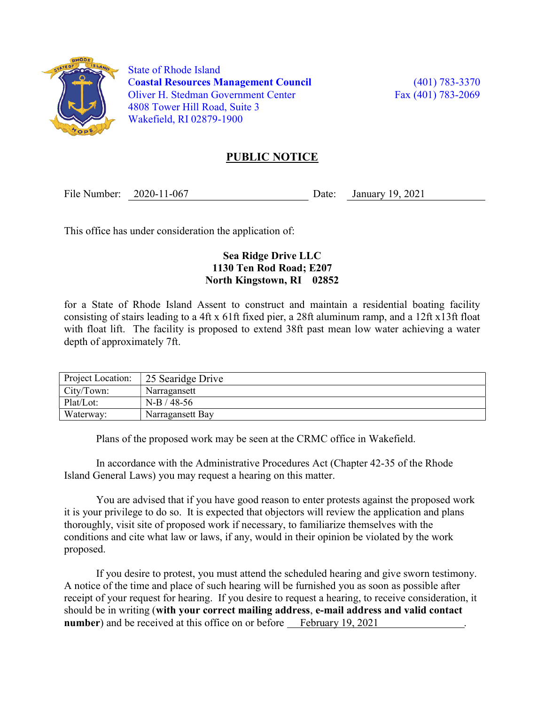

 State of Rhode Island Coastal Resources Management Council (401) 783-3370 Oliver H. Stedman Government Center Fax (401) 783-2069 4808 Tower Hill Road, Suite 3 Wakefield, RI 02879-1900

## PUBLIC NOTICE

File Number: 2020-11-067 Date: January 19, 2021

This office has under consideration the application of:

## Sea Ridge Drive LLC 1130 Ten Rod Road; E207 North Kingstown, RI 02852

for a State of Rhode Island Assent to construct and maintain a residential boating facility consisting of stairs leading to a 4ft x 61ft fixed pier, a 28ft aluminum ramp, and a 12ft x13ft float with float lift. The facility is proposed to extend 38ft past mean low water achieving a water depth of approximately 7ft.

| Project Location: | 25 Searidge Drive |
|-------------------|-------------------|
| City/Town:        | Narragansett      |
| Plat/Lot:         | $N-B/48-56$       |
| Waterway:         | Narragansett Bay  |

Plans of the proposed work may be seen at the CRMC office in Wakefield.

In accordance with the Administrative Procedures Act (Chapter 42-35 of the Rhode Island General Laws) you may request a hearing on this matter.

You are advised that if you have good reason to enter protests against the proposed work it is your privilege to do so. It is expected that objectors will review the application and plans thoroughly, visit site of proposed work if necessary, to familiarize themselves with the conditions and cite what law or laws, if any, would in their opinion be violated by the work proposed.

If you desire to protest, you must attend the scheduled hearing and give sworn testimony. A notice of the time and place of such hearing will be furnished you as soon as possible after receipt of your request for hearing. If you desire to request a hearing, to receive consideration, it should be in writing (with your correct mailing address, e-mail address and valid contact number) and be received at this office on or before February 19, 2021